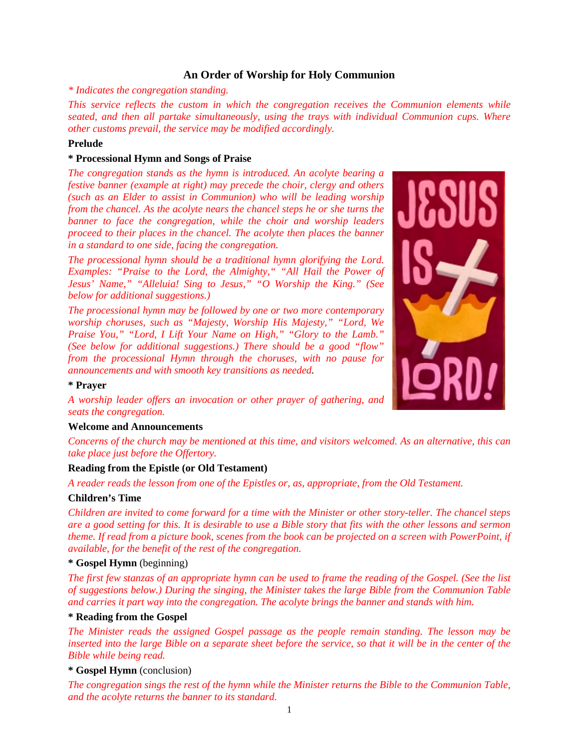# **An Order of Worship for Holy Communion**

*\* Indicates the congregation standing.*

*This service reflects the custom in which the congregation receives the Communion elements while seated, and then all partake simultaneously, using the trays with individual Communion cups. Where other customs prevail, the service may be modified accordingly.*

# **Prelude**

# **\* Processional Hymn and Songs of Praise**

*The congregation stands as the hymn is introduced. An acolyte bearing a festive banner (example at right) may precede the choir, clergy and others (such as an Elder to assist in Communion) who will be leading worship from the chancel. As the acolyte nears the chancel steps he or she turns the banner to face the congregation, while the choir and worship leaders proceed to their places in the chancel. The acolyte then places the banner in a standard to one side, facing the congregation.*

*The processional hymn should be a traditional hymn glorifying the Lord. Examples: "Praise to the Lord, the Almighty," "All Hail the Power of Jesus' Name," "Alleluia! Sing to Jesus," "O Worship the King." (See below for additional suggestions.)*

*The processional hymn may be followed by one or two more contemporary worship choruses, such as "Majesty, Worship His Majesty," "Lord, We Praise You," "Lord, I Lift Your Name on High," "Glory to the Lamb." (See below for additional suggestions.) There should be a good "flow" from the processional Hymn through the choruses, with no pause for announcements and with smooth key transitions as needed.*



# **\* Prayer**

*A worship leader offers an invocation or other prayer of gathering, and seats the congregation.*

# **Welcome and Announcements**

*Concerns of the church may be mentioned at this time, and visitors welcomed. As an alternative, this can take place just before the Offertory.*

# **Reading from the Epistle (or Old Testament)**

*A reader reads the lesson from one of the Epistles or, as, appropriate, from the Old Testament.*

# **Children's Time**

*Children are invited to come forward for a time with the Minister or other story-teller. The chancel steps are a good setting for this. It is desirable to use a Bible story that fits with the other lessons and sermon theme. If read from a picture book, scenes from the book can be projected on a screen with PowerPoint, if available, for the benefit of the rest of the congregation.*

# **\* Gospel Hymn** (beginning)

*The first few stanzas of an appropriate hymn can be used to frame the reading of the Gospel. (See the list of suggestions below.) During the singing, the Minister takes the large Bible from the Communion Table and carries it part way into the congregation. The acolyte brings the banner and stands with him.*

# **\* Reading from the Gospel**

*The Minister reads the assigned Gospel passage as the people remain standing. The lesson may be inserted into the large Bible on a separate sheet before the service, so that it will be in the center of the Bible while being read.*

# **\* Gospel Hymn** (conclusion)

*The congregation sings the rest of the hymn while the Minister returns the Bible to the Communion Table, and the acolyte returns the banner to its standard.*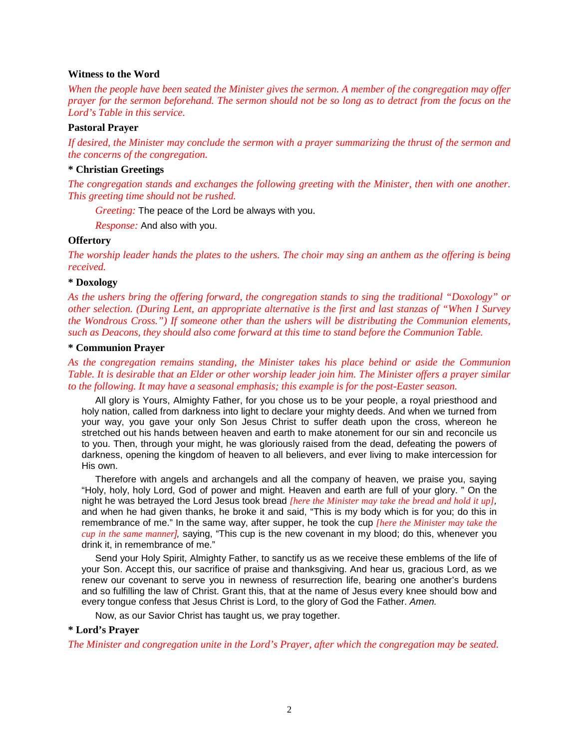### **Witness to the Word**

*When the people have been seated the Minister gives the sermon. A member of the congregation may offer prayer for the sermon beforehand. The sermon should not be so long as to detract from the focus on the Lord's Table in this service.*

# **Pastoral Prayer**

*If desired, the Minister may conclude the sermon with a prayer summarizing the thrust of the sermon and the concerns of the congregation.*

# **\* Christian Greetings**

*The congregation stands and exchanges the following greeting with the Minister, then with one another. This greeting time should not be rushed.*

*Greeting:* The peace of the Lord be always with you.

*Response:* And also with you.

### **Offertory**

*The worship leader hands the plates to the ushers. The choir may sing an anthem as the offering is being received.*

### **\* Doxology**

*As the ushers bring the offering forward, the congregation stands to sing the traditional "Doxology" or other selection. (During Lent, an appropriate alternative is the first and last stanzas of "When I Survey the Wondrous Cross.") If someone other than the ushers will be distributing the Communion elements, such as Deacons, they should also come forward at this time to stand before the Communion Table.*

### **\* Communion Prayer**

*As the congregation remains standing, the Minister takes his place behind or aside the Communion Table. It is desirable that an Elder or other worship leader join him. The Minister offers a prayer similar to the following. It may have a seasonal emphasis; this example is for the post-Easter season.*

All glory is Yours, Almighty Father, for you chose us to be your people, a royal priesthood and holy nation, called from darkness into light to declare your mighty deeds. And when we turned from your way, you gave your only Son Jesus Christ to suffer death upon the cross, whereon he stretched out his hands between heaven and earth to make atonement for our sin and reconcile us to you. Then, through your might, he was gloriously raised from the dead, defeating the powers of darkness, opening the kingdom of heaven to all believers, and ever living to make intercession for His own.

Therefore with angels and archangels and all the company of heaven, we praise you, saying "Holy, holy, holy Lord, God of power and might. Heaven and earth are full of your glory. " On the night he was betrayed the Lord Jesus took bread *[here the Minister may take the bread and hold it up],* and when he had given thanks, he broke it and said, "This is my body which is for you; do this in remembrance of me." In the same way, after supper, he took the cup *[here the Minister may take the cup in the same manner],* saying, "This cup is the new covenant in my blood; do this, whenever you drink it, in remembrance of me."

Send your Holy Spirit, Almighty Father, to sanctify us as we receive these emblems of the life of your Son. Accept this, our sacrifice of praise and thanksgiving. And hear us, gracious Lord, as we renew our covenant to serve you in newness of resurrection life, bearing one another's burdens and so fulfilling the law of Christ. Grant this, that at the name of Jesus every knee should bow and every tongue confess that Jesus Christ is Lord, to the glory of God the Father. *Amen.*

Now, as our Savior Christ has taught us, we pray together.

# **\* Lord's Prayer**

*The Minister and congregation unite in the Lord's Prayer, after which the congregation may be seated.*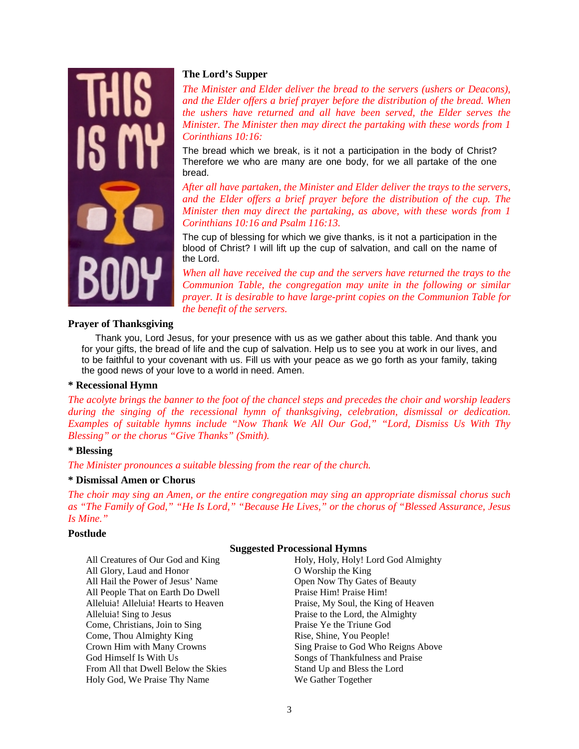

# **The Lord's Supper**

*The Minister and Elder deliver the bread to the servers (ushers or Deacons), and the Elder offers a brief prayer before the distribution of the bread. When the ushers have returned and all have been served, the Elder serves the Minister. The Minister then may direct the partaking with these words from 1 Corinthians 10:16:*

The bread which we break, is it not a participation in the body of Christ? Therefore we who are many are one body, for we all partake of the one bread.

*After all have partaken, the Minister and Elder deliver the trays to the servers, and the Elder offers a brief prayer before the distribution of the cup. The Minister then may direct the partaking, as above, with these words from 1 Corinthians 10:16 and Psalm 116:13.*

The cup of blessing for which we give thanks, is it not a participation in the blood of Christ? I will lift up the cup of salvation, and call on the name of the Lord.

*When all have received the cup and the servers have returned the trays to the Communion Table, the congregation may unite in the following or similar prayer. It is desirable to have large-print copies on the Communion Table for the benefit of the servers.*

# **Prayer of Thanksgiving**

Thank you, Lord Jesus, for your presence with us as we gather about this table. And thank you for your gifts, the bread of life and the cup of salvation. Help us to see you at work in our lives, and to be faithful to your covenant with us. Fill us with your peace as we go forth as your family, taking the good news of your love to a world in need. Amen.

# **\* Recessional Hymn**

*The acolyte brings the banner to the foot of the chancel steps and precedes the choir and worship leaders during the singing of the recessional hymn of thanksgiving, celebration, dismissal or dedication. Examples of suitable hymns include "Now Thank We All Our God," "Lord, Dismiss Us With Thy Blessing" or the chorus "Give Thanks" (Smith).*

# **\* Blessing**

*The Minister pronounces a suitable blessing from the rear of the church.*

# **\* Dismissal Amen or Chorus**

*The choir may sing an Amen, or the entire congregation may sing an appropriate dismissal chorus such as "The Family of God," "He Is Lord," "Because He Lives," or the chorus of "Blessed Assurance, Jesus Is Mine."*

# **Postlude**

# **Suggested Processional Hymns**

All Creatures of Our God and King All Glory, Laud and Honor All Hail the Power of Jesus' Name All People That on Earth Do Dwell Alleluia! Alleluia! Hearts to Heaven Alleluia! Sing to Jesus Come, Christians, Join to Sing Come, Thou Almighty King Crown Him with Many Crowns God Himself Is With Us From All that Dwell Below the Skies Holy God, We Praise Thy Name

Holy, Holy, Holy! Lord God Almighty O Worship the King Open Now Thy Gates of Beauty Praise Him! Praise Him! Praise, My Soul, the King of Heaven Praise to the Lord, the Almighty Praise Ye the Triune God Rise, Shine, You People! Sing Praise to God Who Reigns Above Songs of Thankfulness and Praise Stand Up and Bless the Lord We Gather Together